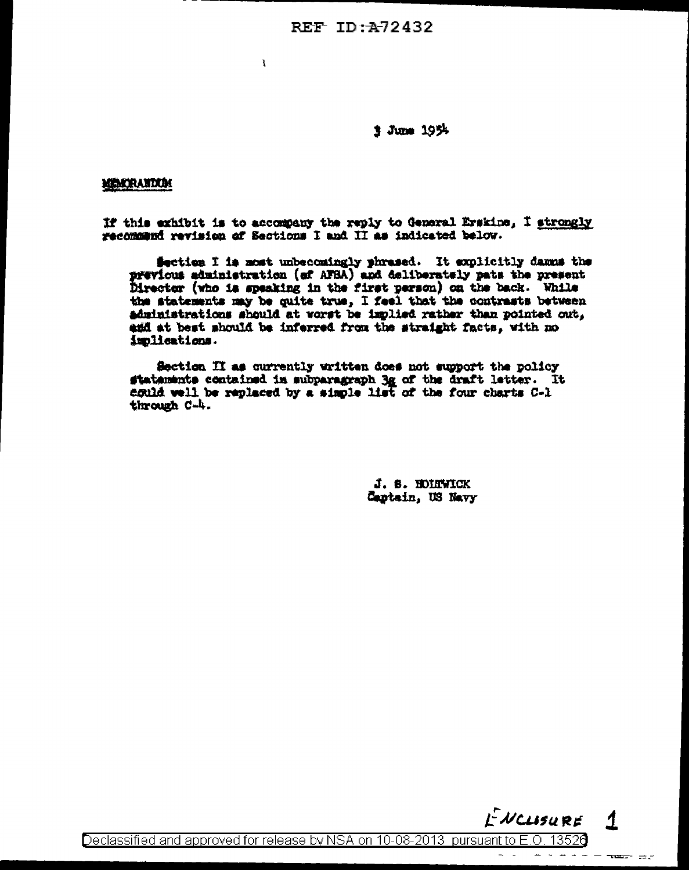REF  $TD:–4-72432$ 

 $\mathbf{r}$ 

**1 June 1954** 

# MAKRANDUM

If this exhibit is to accompany the reply to General Erskine, I strongly recommend revision of Sections I and II as indicated below.

Section I is most unbecomingly phrased. It explicitly damns the previous administration (of AFSA) and deliberately pats the present Director (who is speaking in the first person) on the back. While the statements may be quite true, I feel that the contrasts between administrations should at worst be implied rather than pointed out, agd at best should be inferred from the straight facts, with no implications.

Section II as currently written does not support the policy statements contained in subparagraph 3g of the draft letter. It aguld well be replaced by a simple list of the four charts C-1 through C-h.

> J. S. HOLTWICK Captain, US Navy



Declassified and approved for release by NSA on 10-08-2013 pursuant to E.O. 13526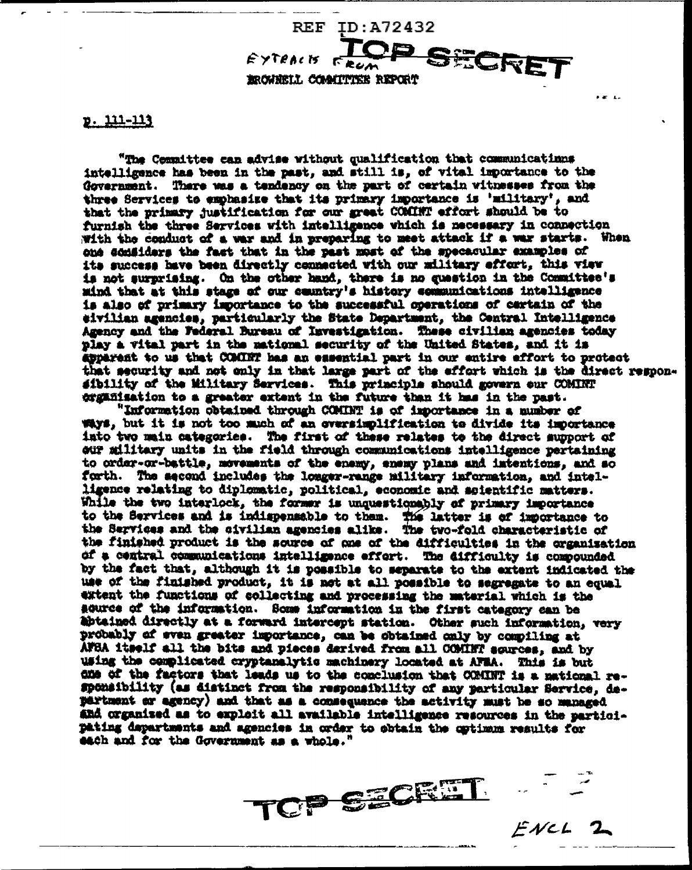EROWNELL COMMITTEE REPORT

**REF** 

EYTRACK

# <u>p. 111-113</u>

"The Committee can advise without qualification that communicatinns intelligence has been in the past, and still is, of vital importance to the Government. There was a tendency on the part of certain witnesses from the three Services to emphasize that its primary importance is 'military', and that the primary justification for our great COMINT effort should be to furnish the three Services with intelligence which is necessary in connection with the conduct of a war and in preparing to meet attack if a war starts. When one considers the fact that in the past most of the specacular examples of its success have been directly connected with our military effort, this view is not surprising. On the other hand, there is no question in the Committee's mind that at this stage of our country's history communications intelligence is also of primary importance to the successful operations of cartain of the eivilian agencies, particularly the State Department, the Central Intelligence Agency and the Federal Bureau of Investigation. These civilian agencies today play a vital part in the mational security of the United States, and it is apperent to us that COMINT has an essential part in our entire effort to protect that security and not only in that large part of the effort which is the direct responsibility of the Military Services. This principle should govern our COMINT organisation to a greater extent in the future than it has in the past.

ID:A72432

ECRE

"Information obtained through COMINT is of importance in a number of ways, but it is not too much of an oversimplification te divide its importance into two main categories. The first of these relates to the direct support of our military units in the field through communications intelligence pertaining to order-or-battle, movements of the enemy, enemy plans and intentions, and so forth. The second includes the longer-range military information, and intelligence relating to diplomatic, political, economic and soientific matters. While the two interlock, the former is unquestionably of primary importance to the Services and is indispensable to them. The latter is of importance to the Services and the civilian agencies alike. The two-fold characteristic of the finished product is the source of one of the difficulties in the organisation of a central communications intelligence effort. The difficulty is compounded by the fact that, although it is possible to separate to the extent indicated the use of the finished product, it is not at all possible to segregate to an equal extent the functions of collecting and processing the material which is the acuree of the information. Some information in the first category can be abtained directly at a forward intercept station. Other such information, very probably of even greater importance, can be obtained only by compiling at AFSA itself all the bits and pieces derived from all COMINT sources, and by using the complicated cryptanalytic machinery located at AFMA. This is but die of the factors that leads us to the conclusion that COMINT is a mational responsibility (as distinct from the responsibility of any particular Service, department or agency) and that as a consequence the activity must be so managed and organized as to exploit all available intelligence resources in the participating departments and agencies in order to obtain the optimum results for each and for the Government as a whole."

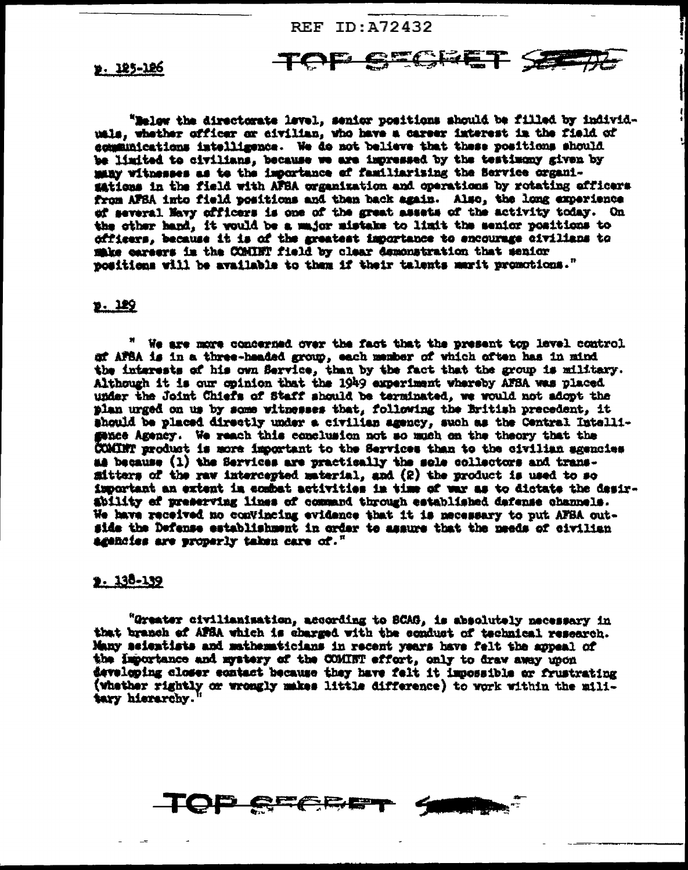REF ID: A72432

TOF

**GEGRET SE** 

». 125-126

"Melow the directorate level, senior positions should be filled by individuals, whether officer or civilian, who have a career interest in the field of communications intelligence. We do not believe that these positions should be limited to civilians, because we are impressed by the testimony given by many witnesses as to the importance of familiarizing the Service organisations in the field with AFBA organization and operations by rotating efficers from AFSA into field positions and then back again. Also, the long experience of several Mavy officers is one of the great assets of the activity today. On the other hand, it would be a major mistake to limit the senior positions to officers, because it is of the greatest importance to encourage civilians to make careers is the COMINT field by clear demonstration that senior positions will be available to them if their talents marit promotions."

# $2.129$

" We are more concerned over the fact that the present top level control of AFSA is in a three-haaded group, each member of which often has in mind the interests of his own Service, than by the fact that the group is military. Although it is our opinion that the 1949 experiment whereby AFBA was placed under the Joint Chiefs of Staff should be terminated, we would not adopt the plan urged on us by some witnesses that, following the British precedent, it should be placed directly under a civilian agency, such as the Central Intelligance Agency. We reach this conclusion not so much on the theory that the COMINT product is more important to the Services than to the civilian agencies as because (1) the Services are practically the sole collectors and transfitters of the raw intercepted material, and (2) the product is used to so important an extent in combat activities in time of war as to dictate the desirability of preserving lines of command through established dafense channels. We have received no convincing evidence that it is necessary to put AFBA outside the Defense establishment in order to assure that the needs of civilian agencies are properly taken care of."

# $2.138 - 139$

"Greater civilianisation, according to SCAG, is absolutely necessary in that branch of AFSA which is charged with the conduct of technical research. Many seientists and mathematicians in recent years have felt the appeal of the importance and mystery of the COMINT effort, only to draw away upon developing closer contact because they have felt it impossible or frustrating (whether rightly or wrongly makes little difference) to work within the military hierarchy.'

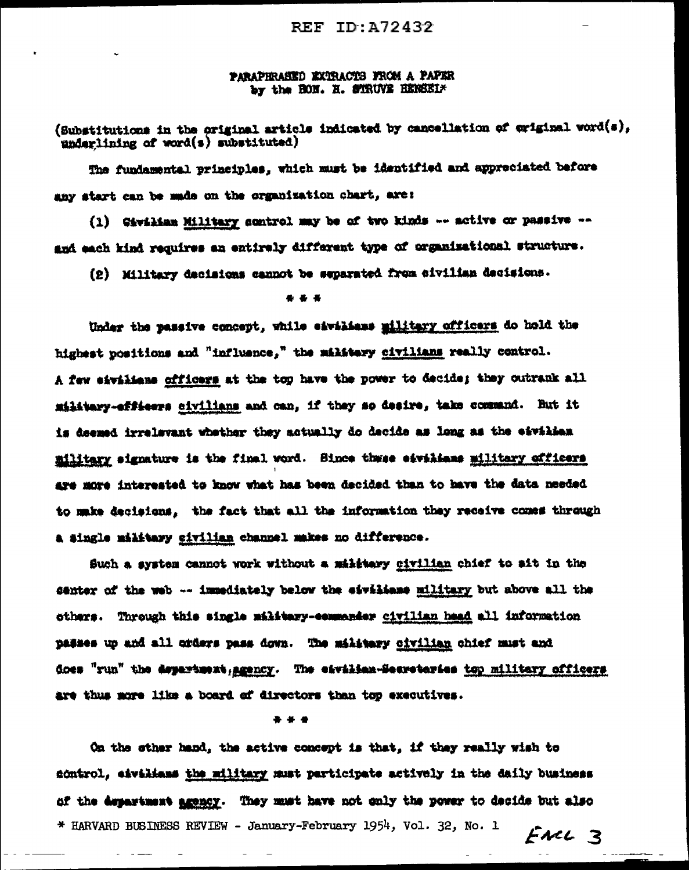# PARAPHRASED EXTRACTS FROM A PAPER by the HON. H. STRUVE HEREEL\*

(Substitutions in the original article indicated by cancellation of original word(s), underlining of word(s) substituted)

The fundamental principles, which must be identified and appreciated before any start can be made on the organization chart, are:

(1) Giviliam Military control may be of two kinds -- active or passive -and each kind requires an entirely different type of organizational structure.

(2) Military decisions cannot be separated from civilian decisions.

# $\bullet$   $\bullet$   $\bullet$

Under the passive concept, while eivilians military officers do hold the highest positions and "influence," the military civilians really control. A few eivilians officers at the top have the power to decide; they outrank all military-efficers sivilians and can, if they so desire, take command. But it is deemed irrelevant whether they actually do decide as long as the eavilies military signature is the final word. Bince thuse eivilians military officers are more interested to know what has been decided than to have the data needed to make decisions, the fact that all the information they receive comes through a single military civilian channel makes no difference.

Such a system cannot work without a military civilian chief to sit in the senter of the web -- immediately below the eivilians military but above all the others. Through this single military-commander civilian head all information passes up and all orders pass down. The military civilian chief must and does "run" the department, agency. The eavilian-Secretaries top military officers are thus more like a board of directors than top executives.

### \* \* \*

On the sther hand, the active concept is that, if they really wish to sontrol, eivilians the military must participate actively in the daily business of the department agency. They must have not only the power to decide but also \* HARVARD BUSINESS REVIEW - January-February 1954, Vol. 32, No. 1  $F$ NCL  $3$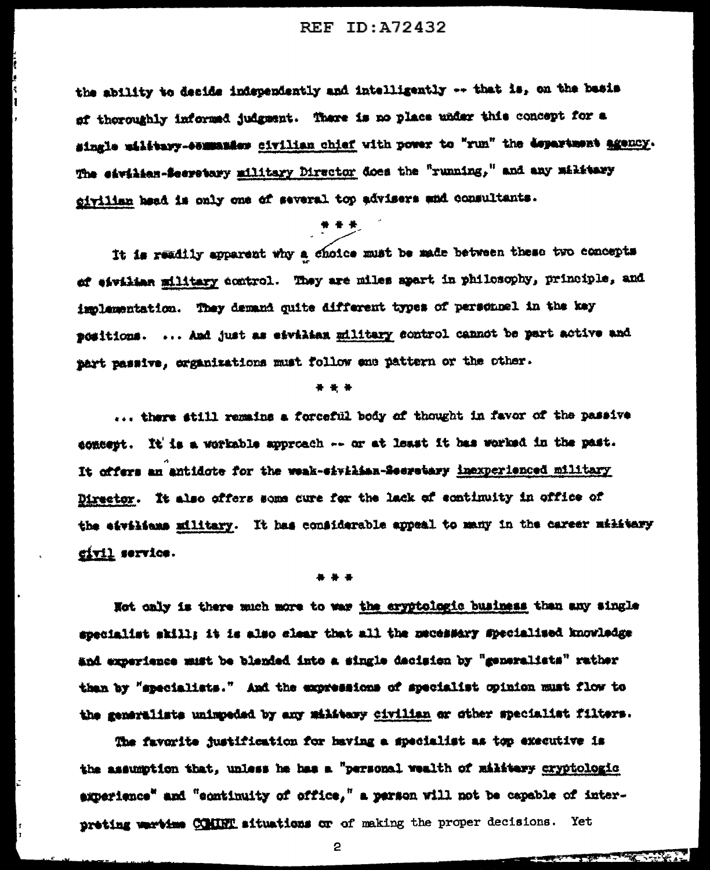# REF ID: A72432

the ability to decide independently and intelligently -- that is, on the basis of thoroughly informed judgment. There is no place under this concept for a single uilitary-esmanics civilian chief with power to "run" the department agency. The eavilian-Secretary military Director does the "running," and any military civilian head is only one of several top advisers and consultants.

It is readily apparent why a choice must be made between these two concepts of eivilian military control. They are miles apart in philosophy, principle, and implementation. They demand quite different types of personnel in the key positions. ... And just as eivilian military sontrol cannot be part active and part passive, organizations must follow ene pattern or the other.

## \* \* \*

... there still remains a forceful body of thought in favor of the passive concept. It is a workable approach -- or at least it has worked in the past. It offers an antidote for the weak-eivilian-Seeretary inexperienced military Director. It also offers some cure for the lack of continuity in office of the eivilians military. It has considerable appeal to many in the career military civil service.

## \*\*\*

Not only is there much more to war the eryptologic business than any single specialist skill; it is also clear that all the mecessary specialised knowledge and experience must be blended into a single dacision by "generalists" rather than by "specialists." And the expressions of specialist opinion must flow to the generalists unimpeded by any military civilian or other specialist filters.

The favorite justification for having a specialist as top executive is the assumption that, unless he has a "personal wealth of military cryptologic experience" and "continuity of office," a parson will not be capable of interpreting wartime COMINT situations or of making the proper decisions. Yet

**THE STATE OF STRAIN** 

2